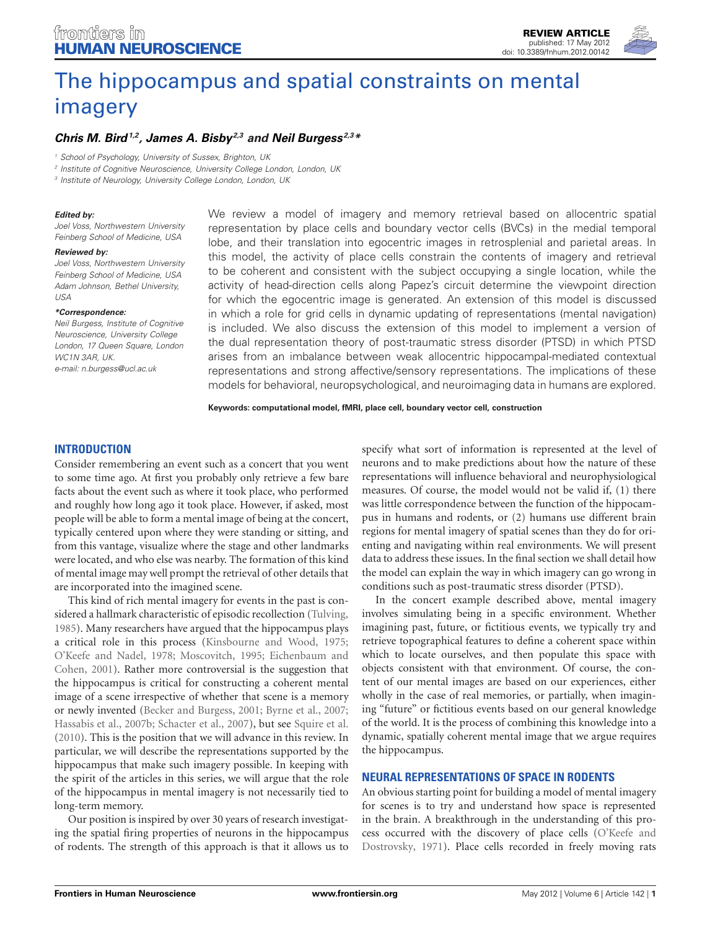# [The hippocampus and spatial constraints on mental](http://www.frontiersin.org/Human_Neuroscience/10.3389/fnhum.2012.00142/abstract) imagery

# *[Chris M. Bird1](http://www.frontiersin.org/Community/WhosWhoActivity.aspx?sname=ChrisBird&UID=42765),2, [James A. Bisby2](http://www.frontiersin.org/Community/WhosWhoActivity.aspx?sname=JamesBisby&UID=42027),3 and [Neil Burgess](http://www.frontiersin.org/Community/WhosWhoActivity.aspx?sname=NeilBurgess&UID=2850) 2,3\**

*<sup>1</sup> School of Psychology, University of Sussex, Brighton, UK*

*<sup>2</sup> Institute of Cognitive Neuroscience, University College London, London, UK*

*<sup>3</sup> Institute of Neurology, University College London, London, UK*

#### *Edited by:*

*Joel Voss, Northwestern University Feinberg School of Medicine, USA*

#### *Reviewed by:*

*Joel Voss, Northwestern University Feinberg School of Medicine, USA Adam Johnson, Bethel University, USA*

*\*Correspondence:*

*Neil Burgess, Institute of Cognitive Neuroscience, University College London, 17 Queen Square, London WC1N 3AR, UK. e-mail: n.burgess@ucl.ac.uk*

We review a model of imagery and memory retrieval based on allocentric spatial representation by place cells and boundary vector cells (BVCs) in the medial temporal lobe, and their translation into egocentric images in retrosplenial and parietal areas. In this model, the activity of place cells constrain the contents of imagery and retrieval to be coherent and consistent with the subject occupying a single location, while the activity of head-direction cells along Papez's circuit determine the viewpoint direction for which the egocentric image is generated. An extension of this model is discussed in which a role for grid cells in dynamic updating of representations (mental navigation) is included. We also discuss the extension of this model to implement a version of the dual representation theory of post-traumatic stress disorder (PTSD) in which PTSD arises from an imbalance between weak allocentric hippocampal-mediated contextual representations and strong affective/sensory representations. The implications of these models for behavioral, neuropsychological, and neuroimaging data in humans are explored.

**Keywords: computational model, fMRI, place cell, boundary vector cell, construction**

# **INTRODUCTION**

Consider remembering an event such as a concert that you went to some time ago. At first you probably only retrieve a few bare facts about the event such as where it took place, who performed and roughly how long ago it took place. However, if asked, most people will be able to form a mental image of being at the concert, typically centered upon where they were standing or sitting, and from this vantage, visualize where the stage and other landmarks were located, and who else was nearby. The formation of this kind of mental image may well prompt the retrieval of other details that are incorporated into the imagined scene.

This kind of rich mental imagery for events in the past is considered a hallmark characteristic of episodic recollection [\(Tulving,](#page-11-0) [1985\)](#page-11-0). Many researchers have argued that the hippocampus plays a critical role in this process [\(Kinsbourne and Wood, 1975;](#page-10-0) [O'Keefe and Nadel](#page-10-1)[,](#page-9-0) [1978](#page-10-1)[;](#page-9-0) [Moscovitch](#page-10-2)[,](#page-9-0) [1995;](#page-10-2) Eichenbaum and Cohen, [2001\)](#page-9-0). Rather more controversial is the suggestion that the hippocampus is critical for constructing a coherent mental image of a scene irrespective of whether that scene is a memory or newly invented [\(Becker and Burgess, 2001](#page-9-1); [Byrne et al., 2007;](#page-9-2) [Hassabis et al., 2007b;](#page-10-3) [Schacter et al., 2007\)](#page-11-1), but see [Squire et al.](#page-11-2) [\(2010](#page-11-2)). This is the position that we will advance in this review. In particular, we will describe the representations supported by the hippocampus that make such imagery possible. In keeping with the spirit of the articles in this series, we will argue that the role of the hippocampus in mental imagery is not necessarily tied to long-term memory.

Our position is inspired by over 30 years of research investigating the spatial firing properties of neurons in the hippocampus of rodents. The strength of this approach is that it allows us to

specify what sort of information is represented at the level of neurons and to make predictions about how the nature of these representations will influence behavioral and neurophysiological measures. Of course, the model would not be valid if, (1) there was little correspondence between the function of the hippocampus in humans and rodents, or (2) humans use different brain regions for mental imagery of spatial scenes than they do for orienting and navigating within real environments. We will present data to address these issues. In the final section we shall detail how the model can explain the way in which imagery can go wrong in conditions such as post-traumatic stress disorder (PTSD).

In the concert example described above, mental imagery involves simulating being in a specific environment. Whether imagining past, future, or fictitious events, we typically try and retrieve topographical features to define a coherent space within which to locate ourselves, and then populate this space with objects consistent with that environment. Of course, the content of our mental images are based on our experiences, either wholly in the case of real memories, or partially, when imagining "future" or fictitious events based on our general knowledge of the world. It is the process of combining this knowledge into a dynamic, spatially coherent mental image that we argue requires the hippocampus.

### **NEURAL REPRESENTATIONS OF SPACE IN RODENTS**

An obvious starting point for building a model of mental imagery for scenes is to try and understand how space is represented in the brain. A breakthrough in the understanding of this process occur[red with the discovery of place cells \(](#page-10-4)O'Keefe and Dostrovsky, [1971\)](#page-10-4). Place cells recorded in freely moving rats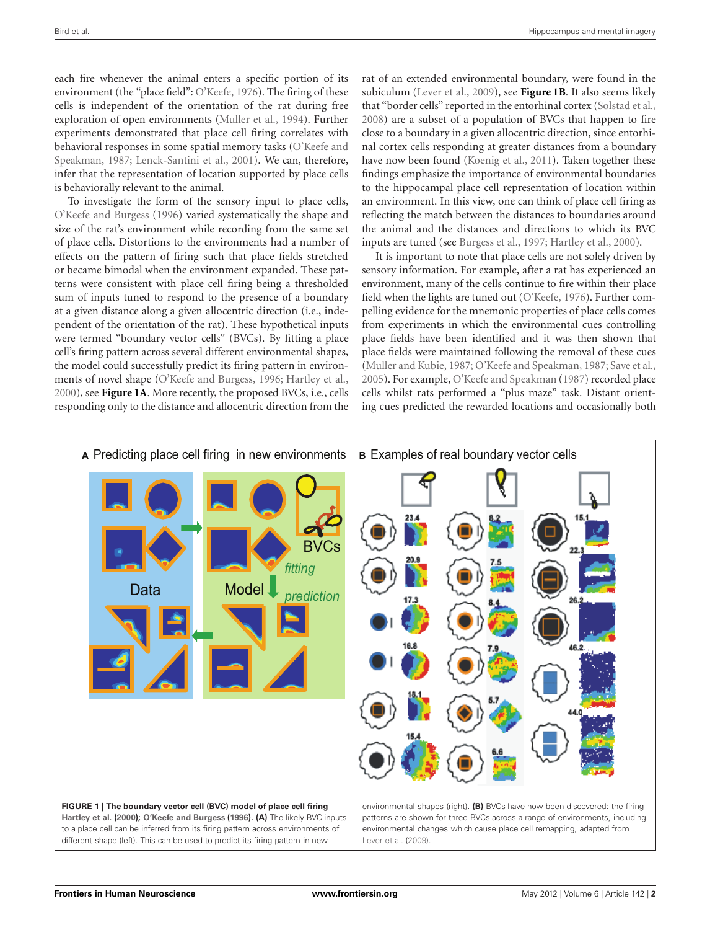each fire whenever the animal enters a specific portion of its environment (the "place field": [O'Keefe, 1976](#page-10-5)). The firing of these cells is independent of the orientation of the rat during free exploration of open environments [\(Muller et al.](#page-10-6), [1994\)](#page-10-6). Further experiments demonstrated that place cell firing correlates with behaviora[l](#page-10-7) [responses](#page-10-7) [in](#page-10-7) [some](#page-10-7) [spatial](#page-10-7) [memory](#page-10-7) [tasks](#page-10-7) [\(](#page-10-7)O'Keefe and Speakman, [1987;](#page-10-7) [Lenck-Santini et al.](#page-10-8), [2001\)](#page-10-8). We can, therefore, infer that the representation of location supported by place cells is behaviorally relevant to the animal.

To investigate the form of the sensory input to place cells, [O'Keefe and Burgess](#page-10-9) [\(1996\)](#page-10-9) varied systematically the shape and size of the rat's environment while recording from the same set of place cells. Distortions to the environments had a number of effects on the pattern of firing such that place fields stretched or became bimodal when the environment expanded. These patterns were consistent with place cell firing being a thresholded sum of inputs tuned to respond to the presence of a boundary at a given distance along a given allocentric direction (i.e., independent of the orientation of the rat). These hypothetical inputs were termed "boundary vector cells" (BVCs). By fitting a place cell's firing pattern across several different environmental shapes, the model could successfully predict its firing pattern in environments of novel shape [\(O'Keefe and Burgess, 1996](#page-10-9); [Hartley et al.](#page-10-10), [2000\)](#page-10-10), see **[Figure 1A](#page-1-0)**. More recently, the proposed BVCs, i.e., cells responding only to the distance and allocentric direction from the

rat of an extended environmental boundary, were found in the subiculum [\(Lever et al.](#page-10-11), [2009](#page-10-11)), see **[Figure 1B](#page-1-0)**. It also seems likely that "border cells" reported in the entorhinal cortex [\(Solstad et al.,](#page-11-3) [2008\)](#page-11-3) are a subset of a population of BVCs that happen to fire close to a boundary in a given allocentric direction, since entorhinal cortex cells responding at greater distances from a boundary have now been found [\(Koenig et al.](#page-10-12), [2011](#page-10-12)). Taken together these findings emphasize the importance of environmental boundaries to the hippocampal place cell representation of location within an environment. In this view, one can think of place cell firing as reflecting the match between the distances to boundaries around the animal and the distances and directions to which its BVC inputs are tuned (see [Burgess et al.](#page-9-3), [1997](#page-9-3); [Hartley et al.](#page-10-10), [2000\)](#page-10-10).

It is important to note that place cells are not solely driven by sensory information. For example, after a rat has experienced an environment, many of the cells continue to fire within their place field when the lights are tuned out [\(O'Keefe](#page-10-5), [1976](#page-10-5)). Further compelling evidence for the mnemonic properties of place cells comes from experiments in which the environmental cues controlling place fields have been identified and it was then shown that place fields were maintained following the removal of these cues [\(Muller and Kubie](#page-10-13), [1987;](#page-10-13) [O'Keefe and Speakman, 1987](#page-10-7); [Save et al.,](#page-11-4) [2005\)](#page-11-4). For example, [O'Keefe and Speakman](#page-10-7) [\(1987](#page-10-7)) recorded place cells whilst rats performed a "plus maze" task. Distant orienting cues predicted the rewarded locations and occasionally both



<span id="page-1-0"></span>to a place cell can be inferred from its firing pattern across environments of different shape (left). This can be used to predict its firing pattern in new

environmental changes which cause place cell remapping, adapted from [Lever et al.](#page-10-11) [\(2009\)](#page-10-11).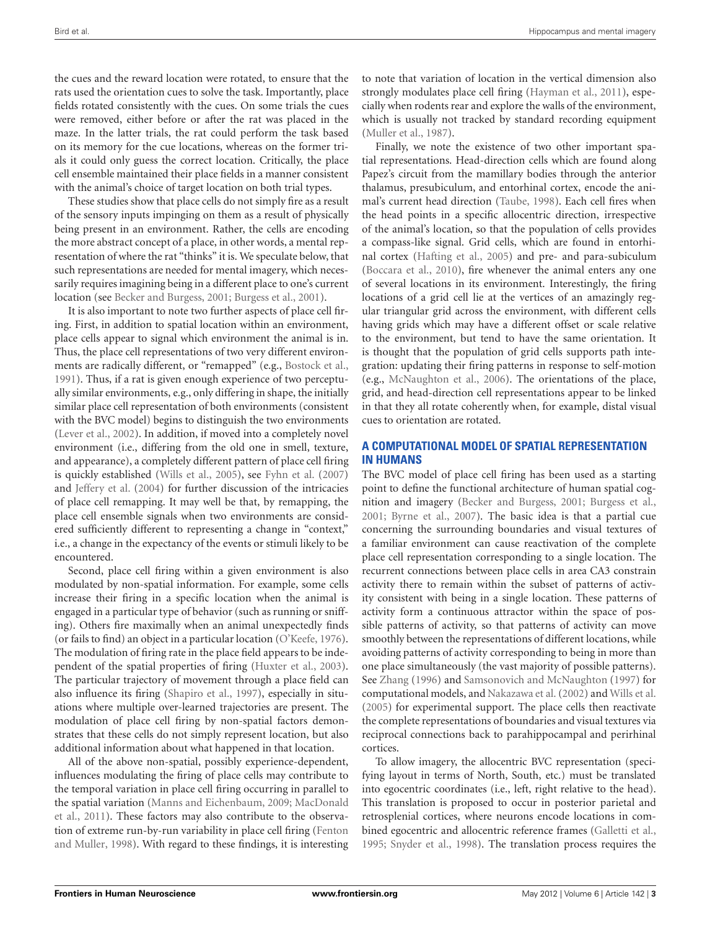the cues and the reward location were rotated, to ensure that the rats used the orientation cues to solve the task. Importantly, place fields rotated consistently with the cues. On some trials the cues were removed, either before or after the rat was placed in the maze. In the latter trials, the rat could perform the task based on its memory for the cue locations, whereas on the former trials it could only guess the correct location. Critically, the place cell ensemble maintained their place fields in a manner consistent with the animal's choice of target location on both trial types.

These studies show that place cells do not simply fire as a result of the sensory inputs impinging on them as a result of physically being present in an environment. Rather, the cells are encoding the more abstract concept of a place, in other words, a mental representation of where the rat "thinks" it is. We speculate below, that such representations are needed for mental imagery, which necessarily requires imagining being in a different place to one's current location (see [Becker and Burgess](#page-9-1), [2001](#page-9-1); [Burgess et al., 2001](#page-9-4)).

It is also important to note two further aspects of place cell firing. First, in addition to spatial location within an environment, place cells appear to signal which environment the animal is in. Thus, the place cell representations of two very different environments are radically different, or "remapped" (e.g., [Bostock et al.](#page-9-5), [1991\)](#page-9-5). Thus, if a rat is given enough experience of two perceptually similar environments, e.g., only differing in shape, the initially similar place cell representation of both environments (consistent with the BVC model) begins to distinguish the two environments [\(Lever et al.](#page-10-14), [2002\)](#page-10-14). In addition, if moved into a completely novel environment (i.e., differing from the old one in smell, texture, and appearance), a completely different pattern of place cell firing is quickly established [\(Wills et al.](#page-11-5), [2005\)](#page-11-5), see [Fyhn et al.](#page-9-6) [\(2007\)](#page-9-6) and [Jeffery et al.](#page-10-15) [\(2004](#page-10-15)) for further discussion of the intricacies of place cell remapping. It may well be that, by remapping, the place cell ensemble signals when two environments are considered sufficiently different to representing a change in "context," i.e., a change in the expectancy of the events or stimuli likely to be encountered.

Second, place cell firing within a given environment is also modulated by non-spatial information. For example, some cells increase their firing in a specific location when the animal is engaged in a particular type of behavior (such as running or sniffing). Others fire maximally when an animal unexpectedly finds (or fails to find) an object in a particular location [\(O'Keefe](#page-10-5), [1976](#page-10-5)). The modulation of firing rate in the place field appears to be independent of the spatial properties of firing [\(Huxter et al., 2003](#page-10-16)). The particular trajectory of movement through a place field can also influence its firing [\(Shapiro et al.](#page-11-6), [1997](#page-11-6)), especially in situations where multiple over-learned trajectories are present. The modulation of place cell firing by non-spatial factors demonstrates that these cells do not simply represent location, but also additional information about what happened in that location.

All of the above non-spatial, possibly experience-dependent, influences modulating the firing of place cells may contribute to the temporal variation in place cell firing occurring in parallel to the s[patial](#page-10-18) [variation](#page-10-18) [\(Manns and Eichenbaum](#page-10-17)[,](#page-10-18) [2009;](#page-10-17) MacDonald et al., [2011\)](#page-10-18). These factors may also contribute to the observation of extr[eme run-by-run variability in place cell firing \(](#page-9-7)Fenton and Muller, [1998](#page-9-7)). With regard to these findings, it is interesting to note that variation of location in the vertical dimension also strongly modulates place cell firing [\(Hayman et al.](#page-10-19), [2011\)](#page-10-19), especially when rodents rear and explore the walls of the environment, which is usually not tracked by standard recording equipment [\(Muller et al., 1987\)](#page-10-20).

Finally, we note the existence of two other important spatial representations. Head-direction cells which are found along Papez's circuit from the mamillary bodies through the anterior thalamus, presubiculum, and entorhinal cortex, encode the animal's current head direction [\(Taube, 1998](#page-11-7)). Each cell fires when the head points in a specific allocentric direction, irrespective of the animal's location, so that the population of cells provides a compass-like signal. Grid cells, which are found in entorhinal cortex [\(Hafting et al.](#page-10-21), [2005\)](#page-10-21) and pre- and para-subiculum [\(Boccara et al., 2010\)](#page-9-8), fire whenever the animal enters any one of several locations in its environment. Interestingly, the firing locations of a grid cell lie at the vertices of an amazingly regular triangular grid across the environment, with different cells having grids which may have a different offset or scale relative to the environment, but tend to have the same orientation. It is thought that the population of grid cells supports path integration: updating their firing patterns in response to self-motion (e.g., [McNaughton et al., 2006\)](#page-10-22). The orientations of the place, grid, and head-direction cell representations appear to be linked in that they all rotate coherently when, for example, distal visual cues to orientation are rotated.

## **A COMPUTATIONAL MODEL OF SPATIAL REPRESENTATION IN HUMANS**

The BVC model of place cell firing has been used as a starting point to define the functional architecture of human spatial cognition and imagery [\(Becker and Burgess](#page-9-1), [2001;](#page-9-1) [Burgess et al.](#page-9-4), [2001;](#page-9-4) [Byrne et al., 2007](#page-9-2)). The basic idea is that a partial cue concerning the surrounding boundaries and visual textures of a familiar environment can cause reactivation of the complete place cell representation corresponding to a single location. The recurrent connections between place cells in area CA3 constrain activity there to remain within the subset of patterns of activity consistent with being in a single location. These patterns of activity form a continuous attractor within the space of possible patterns of activity, so that patterns of activity can move smoothly between the representations of different locations, while avoiding patterns of activity corresponding to being in more than one place simultaneously (the vast majority of possible patterns). See [Zhang](#page-11-8) [\(1996\)](#page-11-8) and [Samsonovich and McNaughton](#page-11-9) [\(1997](#page-11-9)) for computational models, and [Nakazawa et al.\(2002\)](#page-10-23) and [Wills et al.](#page-11-5) [\(2005](#page-11-5)) for experimental support. The place cells then reactivate the complete representations of boundaries and visual textures via reciprocal connections back to parahippocampal and perirhinal cortices.

To allow imagery, the allocentric BVC representation (specifying layout in terms of North, South, etc.) must be translated into egocentric coordinates (i.e., left, right relative to the head). This translation is proposed to occur in posterior parietal and retrosplenial cortices, where neurons encode locations in combined egocentric and allocentric reference frames [\(Galletti et al.](#page-10-24), [1995;](#page-10-24) [Snyder et al.](#page-11-10), [1998](#page-11-10)). The translation process requires the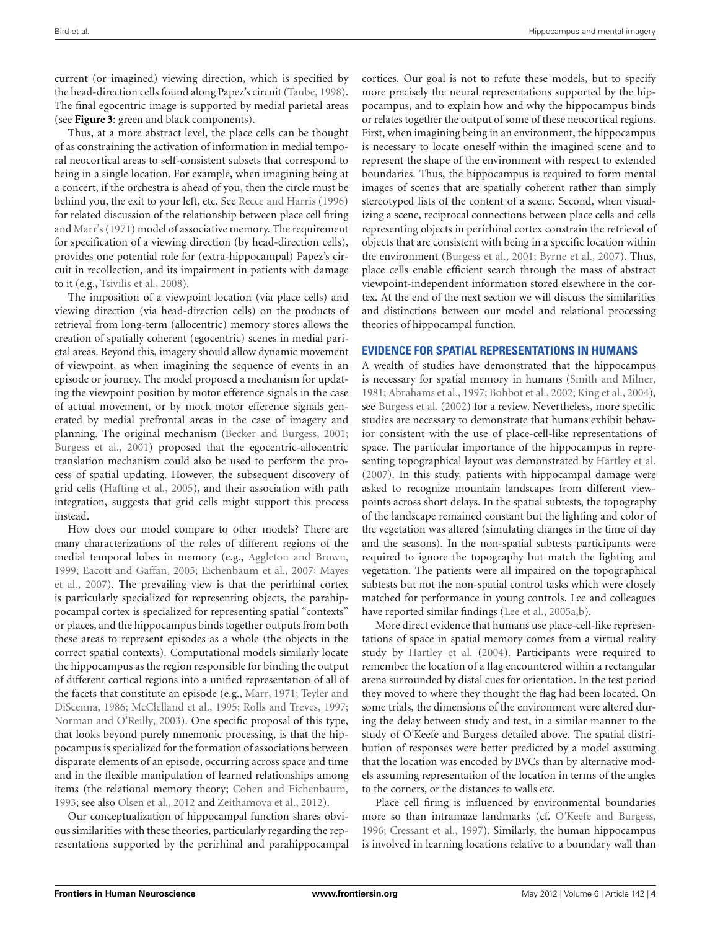current (or imagined) viewing direction, which is specified by the head-direction cells found along Papez's circuit [\(Taube](#page-11-7), [1998](#page-11-7)). The final egocentric image is supported by medial parietal areas (see **[Figure 3](#page-7-0)**: green and black components).

Thus, at a more abstract level, the place cells can be thought of as constraining the activation of information in medial temporal neocortical areas to self-consistent subsets that correspond to being in a single location. For example, when imagining being at a concert, if the orchestra is ahead of you, then the circle must be behind you, the exit to your left, etc. See [Recce and Harris](#page-10-25) [\(1996\)](#page-10-25) for related discussion of the relationship between place cell firing and [Marr's\(1971\)](#page-10-26) model of associative memory. The requirement for specification of a viewing direction (by head-direction cells), provides one potential role for (extra-hippocampal) Papez's circuit in recollection, and its impairment in patients with damage to it (e.g., [Tsivilis et al.](#page-11-11), [2008](#page-11-11)).

The imposition of a viewpoint location (via place cells) and viewing direction (via head-direction cells) on the products of retrieval from long-term (allocentric) memory stores allows the creation of spatially coherent (egocentric) scenes in medial parietal areas. Beyond this, imagery should allow dynamic movement of viewpoint, as when imagining the sequence of events in an episode or journey. The model proposed a mechanism for updating the viewpoint position by motor efference signals in the case of actual movement, or by mock motor efference signals generated by medial prefrontal areas in the case of imagery and planning. The original mechanism [\(Becker and Burgess, 2001;](#page-9-1) [Burgess et al., 2001\)](#page-9-4) proposed that the egocentric-allocentric translation mechanism could also be used to perform the process of spatial updating. However, the subsequent discovery of grid cells [\(Hafting et al.](#page-10-21), [2005](#page-10-21)), and their association with path integration, suggests that grid cells might support this process instead.

How does our model compare to other models? There are many characterizations of the roles of different regions of the medial temporal lobes in memory (e.g., [Aggleton and Brown,](#page-9-9) [1999;](#page-9-9) [Eacott and Gaffan](#page-9-10)[,](#page-10-27) [2005;](#page-9-10) [Eichenbaum et al.](#page-9-11)[,](#page-10-27) [2007](#page-9-11)[;](#page-10-27) Mayes et al., [2007\)](#page-10-27). The prevailing view is that the perirhinal cortex is particularly specialized for representing objects, the parahippocampal cortex is specialized for representing spatial "contexts" or places, and the hippocampus binds together outputs from both these areas to represent episodes as a whole (the objects in the correct spatial contexts). Computational models similarly locate the hippocampus as the region responsible for binding the output of different cortical regions into a unified representation of all of the facets [that constitute an episode \(e.g.,](#page-11-12) [Marr](#page-10-26), [1971;](#page-10-26) Teyler and DiScenna, [1986](#page-11-12); [McClelland et al., 1995](#page-10-28); [Rolls and Treves, 1997;](#page-11-13) [Norman and O'Reilly](#page-10-29), [2003\)](#page-10-29). One specific proposal of this type, that looks beyond purely mnemonic processing, is that the hippocampus is specialized for the formation of associations between disparate elements of an episode, occurring across space and time and in the flexible manipulation of learned relationships among items (the relational memory theory; [Cohen and Eichenbaum,](#page-9-12) [1993;](#page-9-12) see also [Olsen et al.](#page-10-30), [2012](#page-10-30) and [Zeithamova et al.](#page-11-14), [2012\)](#page-11-14).

Our conceptualization of hippocampal function shares obvious similarities with these theories, particularly regarding the representations supported by the perirhinal and parahippocampal cortices. Our goal is not to refute these models, but to specify more precisely the neural representations supported by the hippocampus, and to explain how and why the hippocampus binds or relates together the output of some of these neocortical regions. First, when imagining being in an environment, the hippocampus is necessary to locate oneself within the imagined scene and to represent the shape of the environment with respect to extended boundaries. Thus, the hippocampus is required to form mental images of scenes that are spatially coherent rather than simply stereotyped lists of the content of a scene. Second, when visualizing a scene, reciprocal connections between place cells and cells representing objects in perirhinal cortex constrain the retrieval of objects that are consistent with being in a specific location within the environment [\(Burgess et al.](#page-9-4), [2001;](#page-9-4) [Byrne et al., 2007\)](#page-9-2). Thus, place cells enable efficient search through the mass of abstract viewpoint-independent information stored elsewhere in the cortex. At the end of the next section we will discuss the similarities and distinctions between our model and relational processing theories of hippocampal function.

### **EVIDENCE FOR SPATIAL REPRESENTATIONS IN HUMANS**

A wealth of studies have demonstrated that the hippocampus is necessary for spatial memory in humans [\(Smith and Milner,](#page-11-15) [1981;](#page-11-15) [Abrahams et al.](#page-9-13), [1997](#page-9-13); [Bohbot et al.](#page-9-14), [2002](#page-9-14); [King et al.](#page-10-31), [2004](#page-10-31)), see [Burgess et al.](#page-9-15) [\(2002](#page-9-15)) for a review. Nevertheless, more specific studies are necessary to demonstrate that humans exhibit behavior consistent with the use of place-cell-like representations of space. The particular importance of the hippocampus in representing topographical layout was demonstrated by [Hartley et al.](#page-10-32) [\(2007](#page-10-32)). In this study, patients with hippocampal damage were asked to recognize mountain landscapes from different viewpoints across short delays. In the spatial subtests, the topography of the landscape remained constant but the lighting and color of the vegetation was altered (simulating changes in the time of day and the seasons). In the non-spatial subtests participants were required to ignore the topography but match the lighting and vegetation. The patients were all impaired on the topographical subtests but not the non-spatial control tasks which were closely matched for performance in young controls. Lee and colleagues have reported similar findings [\(Lee et al.](#page-10-33), [2005a](#page-10-33)[,b](#page-10-34)).

More direct evidence that humans use place-cell-like representations of space in spatial memory comes from a virtual reality study by [Hartley et al.](#page-10-35) [\(2004\)](#page-10-35). Participants were required to remember the location of a flag encountered within a rectangular arena surrounded by distal cues for orientation. In the test period they moved to where they thought the flag had been located. On some trials, the dimensions of the environment were altered during the delay between study and test, in a similar manner to the study of O'Keefe and Burgess detailed above. The spatial distribution of responses were better predicted by a model assuming that the location was encoded by BVCs than by alternative models assuming representation of the location in terms of the angles to the corners, or the distances to walls etc.

Place cell firing is influenced by environmental boundaries more so than intramaze landmarks (cf. [O'Keefe and Burgess,](#page-10-9) [1996;](#page-10-9) [Cressant et al., 1997](#page-9-16)). Similarly, the human hippocampus is involved in learning locations relative to a boundary wall than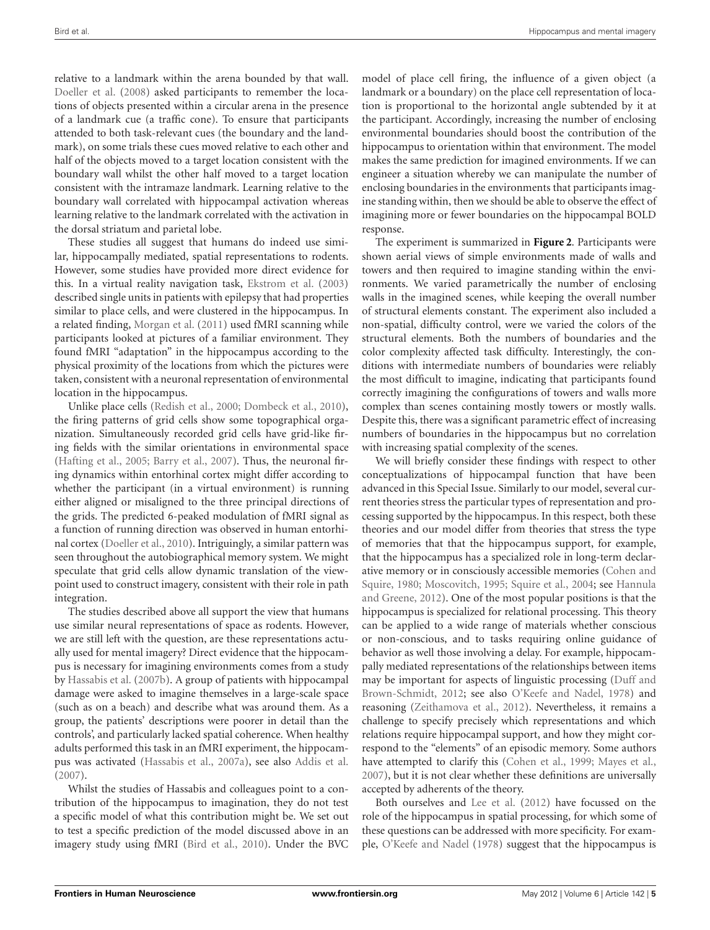relative to a landmark within the arena bounded by that wall. [Doeller et al.](#page-9-17) [\(2008](#page-9-17)) asked participants to remember the locations of objects presented within a circular arena in the presence of a landmark cue (a traffic cone). To ensure that participants attended to both task-relevant cues (the boundary and the landmark), on some trials these cues moved relative to each other and half of the objects moved to a target location consistent with the boundary wall whilst the other half moved to a target location consistent with the intramaze landmark. Learning relative to the boundary wall correlated with hippocampal activation whereas learning relative to the landmark correlated with the activation in the dorsal striatum and parietal lobe.

These studies all suggest that humans do indeed use similar, hippocampally mediated, spatial representations to rodents. However, some studies have provided more direct evidence for this. In a virtual reality navigation task, [Ekstrom et al.](#page-9-18) [\(2003\)](#page-9-18) described single units in patients with epilepsy that had properties similar to place cells, and were clustered in the hippocampus. In a related finding, [Morgan et al.](#page-10-36) [\(2011](#page-10-36)) used fMRI scanning while participants looked at pictures of a familiar environment. They found fMRI "adaptation" in the hippocampus according to the physical proximity of the locations from which the pictures were taken, consistent with a neuronal representation of environmental location in the hippocampus.

Unlike place cells [\(Redish et al., 2000;](#page-10-37) [Dombeck et al.](#page-9-19), [2010](#page-9-19)), the firing patterns of grid cells show some topographical organization. Simultaneously recorded grid cells have grid-like firing fields with the similar orientations in environmental space [\(Hafting et al.](#page-10-21), [2005](#page-10-21); [Barry et al., 2007](#page-9-20)). Thus, the neuronal firing dynamics within entorhinal cortex might differ according to whether the participant (in a virtual environment) is running either aligned or misaligned to the three principal directions of the grids. The predicted 6-peaked modulation of fMRI signal as a function of running direction was observed in human entorhinal cortex [\(Doeller et al., 2010](#page-9-21)). Intriguingly, a similar pattern was seen throughout the autobiographical memory system. We might speculate that grid cells allow dynamic translation of the viewpoint used to construct imagery, consistent with their role in path integration.

The studies described above all support the view that humans use similar neural representations of space as rodents. However, we are still left with the question, are these representations actually used for mental imagery? Direct evidence that the hippocampus is necessary for imagining environments comes from a study by [Hassabis et al.](#page-10-3) [\(2007b\)](#page-10-3). A group of patients with hippocampal damage were asked to imagine themselves in a large-scale space (such as on a beach) and describe what was around them. As a group, the patients' descriptions were poorer in detail than the controls', and particularly lacked spatial coherence. When healthy adults performed this task in an fMRI experiment, the hippocampus was activated [\(Hassabis et al., 2007a](#page-10-38)), see also [Addis et al.](#page-9-22) [\(2007](#page-9-22)).

Whilst the studies of Hassabis and colleagues point to a contribution of the hippocampus to imagination, they do not test a specific model of what this contribution might be. We set out to test a specific prediction of the model discussed above in an imagery study using fMRI [\(Bird et al., 2010](#page-9-23)). Under the BVC

model of place cell firing, the influence of a given object (a landmark or a boundary) on the place cell representation of location is proportional to the horizontal angle subtended by it at the participant. Accordingly, increasing the number of enclosing environmental boundaries should boost the contribution of the hippocampus to orientation within that environment. The model makes the same prediction for imagined environments. If we can engineer a situation whereby we can manipulate the number of enclosing boundaries in the environments that participants imagine standing within, then we should be able to observe the effect of imagining more or fewer boundaries on the hippocampal BOLD response.

The experiment is summarized in **[Figure 2](#page-5-0)**. Participants were shown aerial views of simple environments made of walls and towers and then required to imagine standing within the environments. We varied parametrically the number of enclosing walls in the imagined scenes, while keeping the overall number of structural elements constant. The experiment also included a non-spatial, difficulty control, were we varied the colors of the structural elements. Both the numbers of boundaries and the color complexity affected task difficulty. Interestingly, the conditions with intermediate numbers of boundaries were reliably the most difficult to imagine, indicating that participants found correctly imagining the configurations of towers and walls more complex than scenes containing mostly towers or mostly walls. Despite this, there was a significant parametric effect of increasing numbers of boundaries in the hippocampus but no correlation with increasing spatial complexity of the scenes.

We will briefly consider these findings with respect to other conceptualizations of hippocampal function that have been advanced in this Special Issue. Similarly to our model, several current theories stress the particular types of representation and processing supported by the hippocampus. In this respect, both these theories and our model differ from theories that stress the type of memories that that the hippocampus support, for example, that the hippocampus has a specialized role in long-term declarative [memory or in consciously accessible memories \(](#page-9-24)Cohen and Squire, [1980](#page-9-24)[;](#page-10-39) [Moscovitch](#page-10-2)[,](#page-10-39) [1995;](#page-10-2) [Squire et al.](#page-11-16)[,](#page-10-39) [2004](#page-11-16)[; see](#page-10-39) Hannula and Greene, [2012](#page-10-39)). One of the most popular positions is that the hippocampus is specialized for relational processing. This theory can be applied to a wide range of materials whether conscious or non-conscious, and to tasks requiring online guidance of behavior as well those involving a delay. For example, hippocampally mediated representations of the relationships between items may be import[ant for aspects of linguistic processing \(](#page-9-25)Duff and Brown-Schmidt, [2012;](#page-9-25) see also [O'Keefe and Nadel, 1978](#page-10-1)) and reasoning [\(Zeithamova et al.](#page-11-14), [2012](#page-11-14)). Nevertheless, it remains a challenge to specify precisely which representations and which relations require hippocampal support, and how they might correspond to the "elements" of an episodic memory. Some authors have attempted to clarify this [\(Cohen et al.](#page-9-26), [1999](#page-9-26); [Mayes et al.](#page-10-27), [2007\)](#page-10-27), but it is not clear whether these definitions are universally accepted by adherents of the theory.

Both ourselves and [Lee et al.](#page-10-40) [\(2012](#page-10-40)) have focussed on the role of the hippocampus in spatial processing, for which some of these questions can be addressed with more specificity. For example, [O'Keefe and Nadel](#page-10-1) [\(1978](#page-10-1)) suggest that the hippocampus is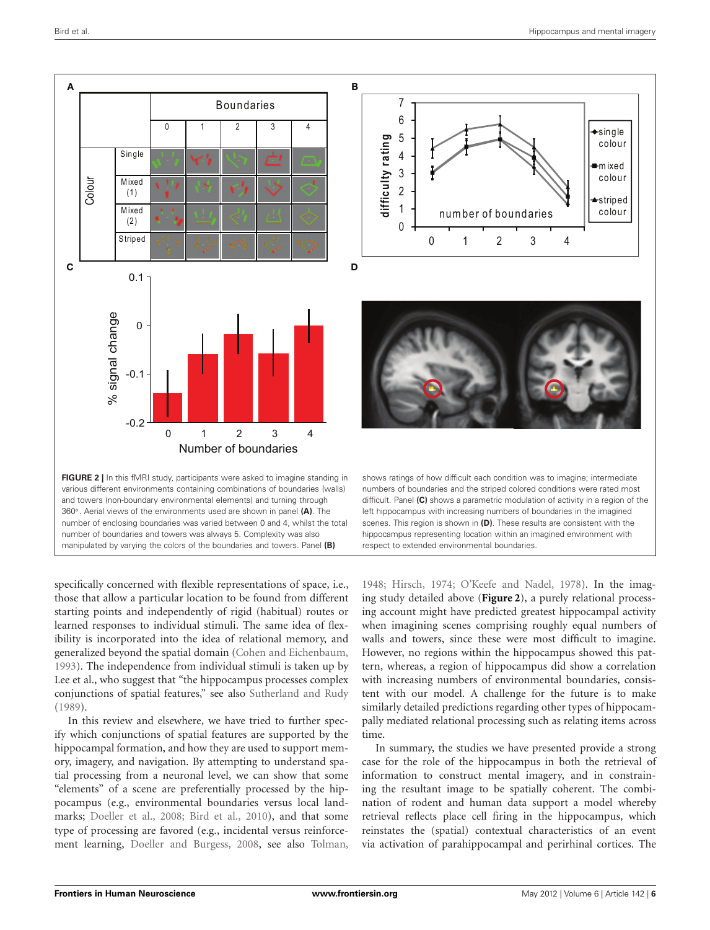

<span id="page-5-0"></span>number of boundaries and towers was always 5. Complexity was also manipulated by varying the colors of the boundaries and towers. Panel **(B)**

specifically concerned with flexible representations of space, i.e., those that allow a particular location to be found from different starting points and independently of rigid (habitual) routes or learned responses to individual stimuli. The same idea of flexibility is incorporated into the idea of relational memory, and generalized beyond the spatial domain [\(Cohen and Eichenbaum,](#page-9-12) [1993\)](#page-9-12). The independence from individual stimuli is taken up by Lee et al., who suggest that "the hippocampus processes complex conjunctions of spatial features," see also [Sutherland and Rudy](#page-11-17) [\(1989](#page-11-17)).

In this review and elsewhere, we have tried to further specify which conjunctions of spatial features are supported by the hippocampal formation, and how they are used to support memory, imagery, and navigation. By attempting to understand spatial processing from a neuronal level, we can show that some "elements" of a scene are preferentially processed by the hippocampus (e.g., environmental boundaries versus local landmarks; [Doeller et al.](#page-9-17), [2008;](#page-9-17) [Bird et al., 2010](#page-9-23)), and that some type of processing are favored (e.g., incidental versus reinforcement learning, [Doeller and Burgess](#page-9-27), [2008,](#page-9-27) see also [Tolman,](#page-11-18)

scenes. This region is shown in **(D)**. These results are consistent with the hippocampus representing location within an imagined environment with respect to extended environmental boundaries.

[1948;](#page-11-18) [Hirsch](#page-10-41), [1974;](#page-10-41) [O'Keefe and Nadel](#page-10-1), [1978\)](#page-10-1). In the imaging study detailed above (**[Figure 2](#page-5-0)**), a purely relational processing account might have predicted greatest hippocampal activity when imagining scenes comprising roughly equal numbers of walls and towers, since these were most difficult to imagine. However, no regions within the hippocampus showed this pattern, whereas, a region of hippocampus did show a correlation with increasing numbers of environmental boundaries, consistent with our model. A challenge for the future is to make similarly detailed predictions regarding other types of hippocampally mediated relational processing such as relating items across time.

In summary, the studies we have presented provide a strong case for the role of the hippocampus in both the retrieval of information to construct mental imagery, and in constraining the resultant image to be spatially coherent. The combination of rodent and human data support a model whereby retrieval reflects place cell firing in the hippocampus, which reinstates the (spatial) contextual characteristics of an event via activation of parahippocampal and perirhinal cortices. The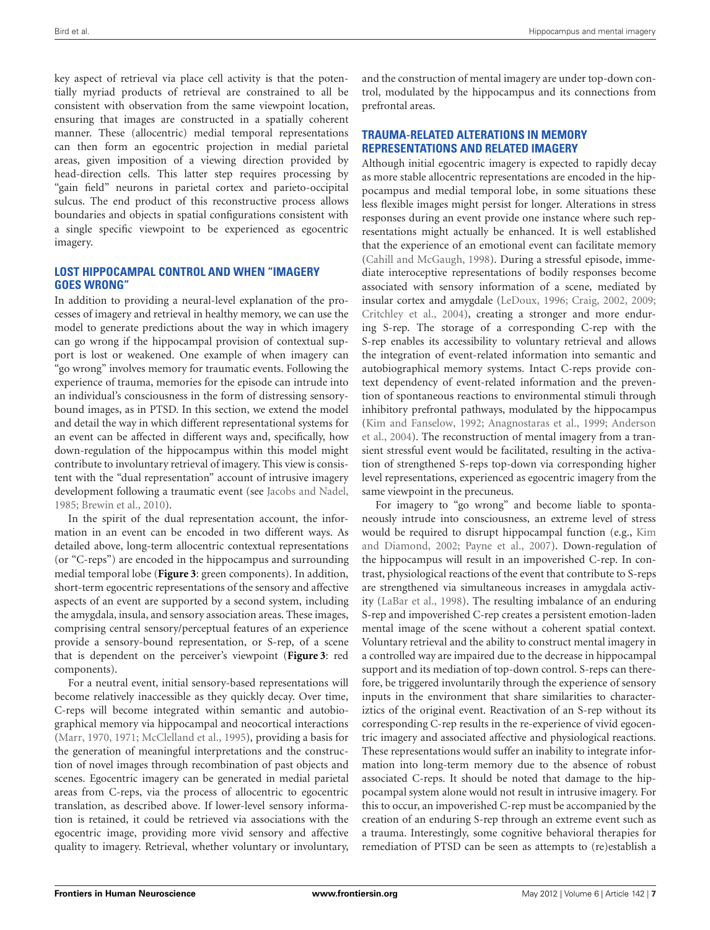key aspect of retrieval via place cell activity is that the potentially myriad products of retrieval are constrained to all be consistent with observation from the same viewpoint location, ensuring that images are constructed in a spatially coherent manner. These (allocentric) medial temporal representations can then form an egocentric projection in medial parietal areas, given imposition of a viewing direction provided by head-direction cells. This latter step requires processing by "gain field" neurons in parietal cortex and parieto-occipital sulcus. The end product of this reconstructive process allows boundaries and objects in spatial configurations consistent with a single specific viewpoint to be experienced as egocentric imagery.

## **LOST HIPPOCAMPAL CONTROL AND WHEN "IMAGERY GOES WRONG"**

In addition to providing a neural-level explanation of the processes of imagery and retrieval in healthy memory, we can use the model to generate predictions about the way in which imagery can go wrong if the hippocampal provision of contextual support is lost or weakened. One example of when imagery can "go wrong" involves memory for traumatic events. Following the experience of trauma, memories for the episode can intrude into an individual's consciousness in the form of distressing sensorybound images, as in PTSD. In this section, we extend the model and detail the way in which different representational systems for an event can be affected in different ways and, specifically, how down-regulation of the hippocampus within this model might contribute to involuntary retrieval of imagery. This view is consistent with the "dual representation" account of intrusive imagery development following a traumatic event (see [Jacobs and Nadel](#page-10-42), [1985;](#page-10-42) [Brewin et al., 2010](#page-9-28)).

In the spirit of the dual representation account, the information in an event can be encoded in two different ways. As detailed above, long-term allocentric contextual representations (or "C-reps") are encoded in the hippocampus and surrounding medial temporal lobe (**[Figure 3](#page-7-0)**: green components). In addition, short-term egocentric representations of the sensory and affective aspects of an event are supported by a second system, including the amygdala, insula, and sensory association areas. These images, comprising central sensory/perceptual features of an experience provide a sensory-bound representation, or S-rep, of a scene that is dependent on the perceiver's viewpoint (**[Figure 3](#page-7-0)**: red components).

For a neutral event, initial sensory-based representations will become relatively inaccessible as they quickly decay. Over time, C-reps will become integrated within semantic and autobiographical memory via hippocampal and neocortical interactions [\(Marr, 1970,](#page-10-43) [1971](#page-10-26); [McClelland et al., 1995](#page-10-28)), providing a basis for the generation of meaningful interpretations and the construction of novel images through recombination of past objects and scenes. Egocentric imagery can be generated in medial parietal areas from C-reps, via the process of allocentric to egocentric translation, as described above. If lower-level sensory information is retained, it could be retrieved via associations with the egocentric image, providing more vivid sensory and affective quality to imagery. Retrieval, whether voluntary or involuntary,

and the construction of mental imagery are under top-down control, modulated by the hippocampus and its connections from prefrontal areas.

# **TRAUMA-RELATED ALTERATIONS IN MEMORY REPRESENTATIONS AND RELATED IMAGERY**

Although initial egocentric imagery is expected to rapidly decay as more stable allocentric representations are encoded in the hippocampus and medial temporal lobe, in some situations these less flexible images might persist for longer. Alterations in stress responses during an event provide one instance where such representations might actually be enhanced. It is well established that the experience of an emotional event can facilitate memory [\(Cahill and McGaugh, 1998\)](#page-9-29). During a stressful episode, immediate interoceptive representations of bodily responses become associated with sensory information of a scene, mediated by insular cortex and amygdale [\(LeDoux](#page-10-44), [1996](#page-10-44); [Craig, 2002](#page-9-30), [2009;](#page-9-31) [Critchley et al., 2004](#page-9-32)), creating a stronger and more enduring S-rep. The storage of a corresponding C-rep with the S-rep enables its accessibility to voluntary retrieval and allows the integration of event-related information into semantic and autobiographical memory systems. Intact C-reps provide context dependency of event-related information and the prevention of spontaneous reactions to environmental stimuli through inhibitory prefrontal pathways, modulated by the hippocampus [\(Kim and Fanselow](#page-10-45)[,](#page-9-34) [1992](#page-10-45)[;](#page-9-34) [Anagnostaras et al., 1999](#page-9-33)[;](#page-9-34) Anderson et al., [2004](#page-9-34)). The reconstruction of mental imagery from a transient stressful event would be facilitated, resulting in the activation of strengthened S-reps top-down via corresponding higher level representations, experienced as egocentric imagery from the same viewpoint in the precuneus.

For imagery to "go wrong" and become liable to spontaneously intrude into consciousness, an extreme level of stress would be req[uired to disrupt hippocampal function \(e.g.,](#page-10-46) Kim and Diamond, [2002;](#page-10-46) [Payne et al.](#page-10-47), [2007](#page-10-47)). Down-regulation of the hippocampus will result in an impoverished C-rep. In contrast, physiological reactions of the event that contribute to S-reps are strengthened via simultaneous increases in amygdala activity [\(LaBar et al.](#page-10-48), [1998\)](#page-10-48). The resulting imbalance of an enduring S-rep and impoverished C-rep creates a persistent emotion-laden mental image of the scene without a coherent spatial context. Voluntary retrieval and the ability to construct mental imagery in a controlled way are impaired due to the decrease in hippocampal support and its mediation of top-down control. S-reps can therefore, be triggered involuntarily through the experience of sensory inputs in the environment that share similarities to characteriztics of the original event. Reactivation of an S-rep without its corresponding C-rep results in the re-experience of vivid egocentric imagery and associated affective and physiological reactions. These representations would suffer an inability to integrate information into long-term memory due to the absence of robust associated C-reps. It should be noted that damage to the hippocampal system alone would not result in intrusive imagery. For this to occur, an impoverished C-rep must be accompanied by the creation of an enduring S-rep through an extreme event such as a trauma. Interestingly, some cognitive behavioral therapies for remediation of PTSD can be seen as attempts to (re)establish a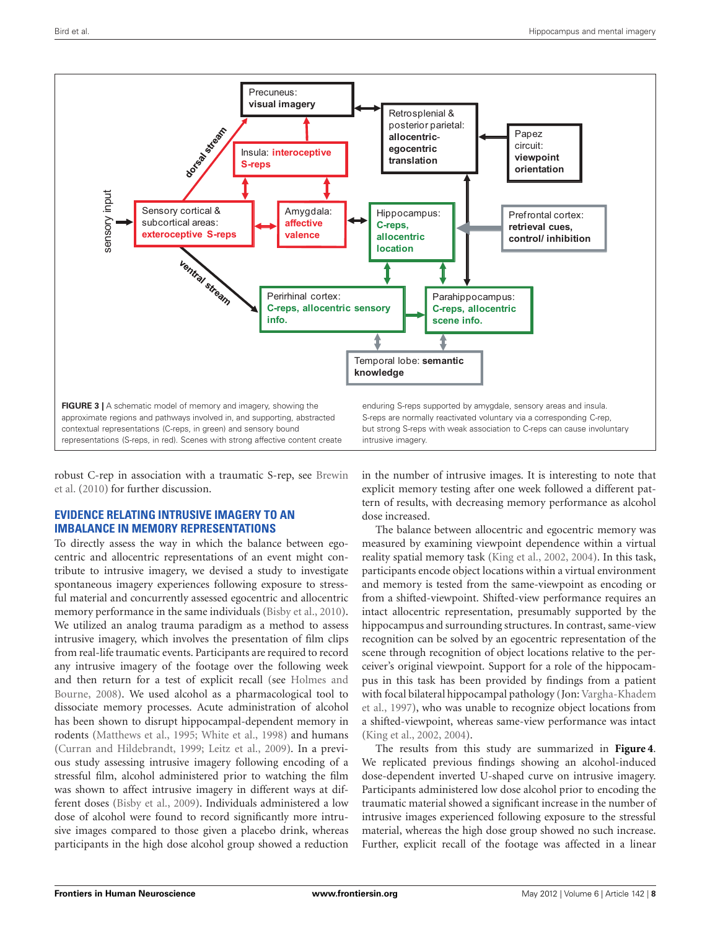

<span id="page-7-0"></span>robu[st C-rep in association with a traumatic S-rep, see](#page-9-28) Brewin et al. [\(2010\)](#page-9-28) for further discussion.

# **EVIDENCE RELATING INTRUSIVE IMAGERY TO AN IMBALANCE IN MEMORY REPRESENTATIONS**

To directly assess the way in which the balance between egocentric and allocentric representations of an event might contribute to intrusive imagery, we devised a study to investigate spontaneous imagery experiences following exposure to stressful material and concurrently assessed egocentric and allocentric memory performance in the same individuals [\(Bisby et al., 2010](#page-9-35)). We utilized an analog trauma paradigm as a method to assess intrusive imagery, which involves the presentation of film clips from real-life traumatic events. Participants are required to record any intrusive imagery of the footage over the following week and th[en](#page-10-49) [return](#page-10-49) [for](#page-10-49) [a](#page-10-49) [test](#page-10-49) [of](#page-10-49) [explicit](#page-10-49) [recall](#page-10-49) [\(see](#page-10-49) Holmes and Bourne, [2008\)](#page-10-49). We used alcohol as a pharmacological tool to dissociate memory processes. Acute administration of alcohol has been shown to disrupt hippocampal-dependent memory in rodents [\(Matthews et al.](#page-10-50), [1995;](#page-10-50) [White et al.](#page-11-19), [1998\)](#page-11-19) and humans [\(Curran and Hildebrandt](#page-9-36), [1999](#page-9-36); [Leitz et al.](#page-10-51), [2009](#page-10-51)). In a previous study assessing intrusive imagery following encoding of a stressful film, alcohol administered prior to watching the film was shown to affect intrusive imagery in different ways at different doses [\(Bisby et al.](#page-9-37), [2009\)](#page-9-37). Individuals administered a low dose of alcohol were found to record significantly more intrusive images compared to those given a placebo drink, whereas participants in the high dose alcohol group showed a reduction

in the number of intrusive images. It is interesting to note that explicit memory testing after one week followed a different pattern of results, with decreasing memory performance as alcohol dose increased.

The balance between allocentric and egocentric memory was measured by examining viewpoint dependence within a virtual reality spatial memory task [\(King et al., 2002](#page-10-52), [2004](#page-10-31)). In this task, participants encode object locations within a virtual environment and memory is tested from the same-viewpoint as encoding or from a shifted-viewpoint. Shifted-view performance requires an intact allocentric representation, presumably supported by the hippocampus and surrounding structures. In contrast, same-view recognition can be solved by an egocentric representation of the scene through recognition of object locations relative to the perceiver's original viewpoint. Support for a role of the hippocampus in this task has been provided by findings from a patient with [focal bilateral hippocampal pathology \(Jon:](#page-11-20) Vargha-Khadem et al., [1997\)](#page-11-20), who was unable to recognize object locations from a shifted-viewpoint, whereas same-view performance was intact [\(King et al.](#page-10-52), [2002](#page-10-52), [2004\)](#page-10-31).

The results from this study are summarized in **[Figure 4](#page-8-0)**. We replicated previous findings showing an alcohol-induced dose-dependent inverted U-shaped curve on intrusive imagery. Participants administered low dose alcohol prior to encoding the traumatic material showed a significant increase in the number of intrusive images experienced following exposure to the stressful material, whereas the high dose group showed no such increase. Further, explicit recall of the footage was affected in a linear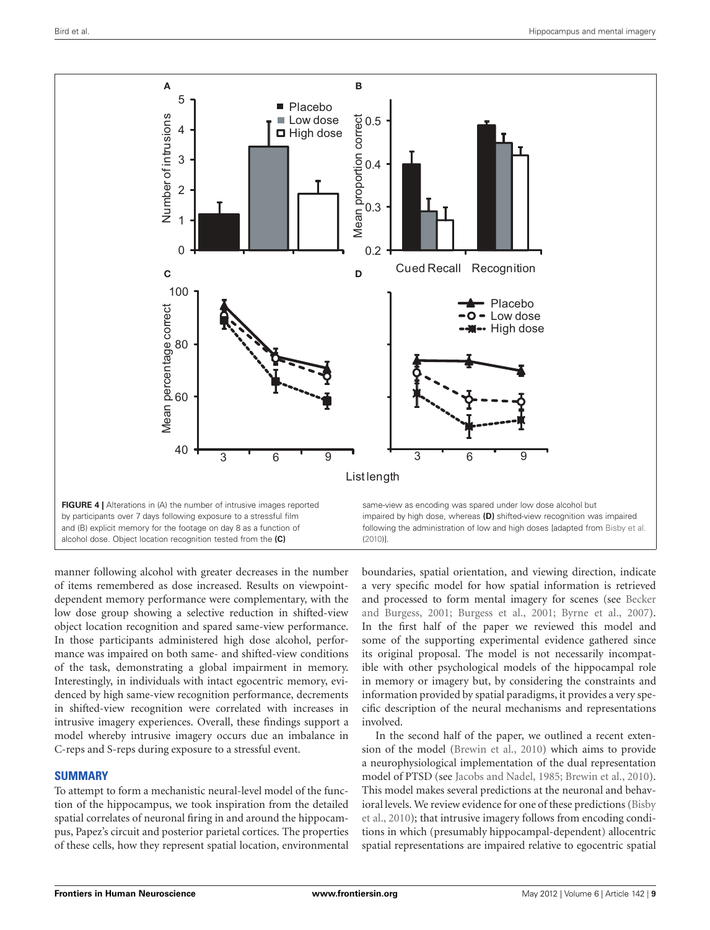

<span id="page-8-0"></span>manner following alcohol with greater decreases in the number of items remembered as dose increased. Results on viewpointdependent memory performance were complementary, with the low dose group showing a selective reduction in shifted-view object location recognition and spared same-view performance. In those participants administered high dose alcohol, performance was impaired on both same- and shifted-view conditions of the task, demonstrating a global impairment in memory. Interestingly, in individuals with intact egocentric memory, evidenced by high same-view recognition performance, decrements in shifted-view recognition were correlated with increases in intrusive imagery experiences. Overall, these findings support a model whereby intrusive imagery occurs due an imbalance in C-reps and S-reps during exposure to a stressful event.

# **SUMMARY**

To attempt to form a mechanistic neural-level model of the function of the hippocampus, we took inspiration from the detailed spatial correlates of neuronal firing in and around the hippocampus, Papez's circuit and posterior parietal cortices. The properties of these cells, how they represent spatial location, environmental boundaries, spatial orientation, and viewing direction, indicate a very specific model for how spatial information is retrieved and process[ed to form mental imagery for scenes \(see](#page-9-1) Becker and Burgess, [2001](#page-9-1); [Burgess et al., 2001;](#page-9-4) [Byrne et al.](#page-9-2), [2007](#page-9-2)). In the first half of the paper we reviewed this model and some of the supporting experimental evidence gathered since its original proposal. The model is not necessarily incompatible with other psychological models of the hippocampal role in memory or imagery but, by considering the constraints and information provided by spatial paradigms, it provides a very specific description of the neural mechanisms and representations involved.

In the second half of the paper, we outlined a recent extension of the model [\(Brewin et al., 2010\)](#page-9-28) which aims to provide a neurophysiological implementation of the dual representation model of PTSD (see [Jacobs and Nadel](#page-10-42), [1985;](#page-10-42) [Brewin et al., 2010](#page-9-28)). This model makes several predictions at the neuronal and behavioral [levels.](#page-9-35) [We](#page-9-35) [review](#page-9-35) [evidence](#page-9-35) [for](#page-9-35) [one](#page-9-35) [of](#page-9-35) [these](#page-9-35) [predictions](#page-9-35) [\(](#page-9-35)Bisby et al., [2010](#page-9-35)); that intrusive imagery follows from encoding conditions in which (presumably hippocampal-dependent) allocentric spatial representations are impaired relative to egocentric spatial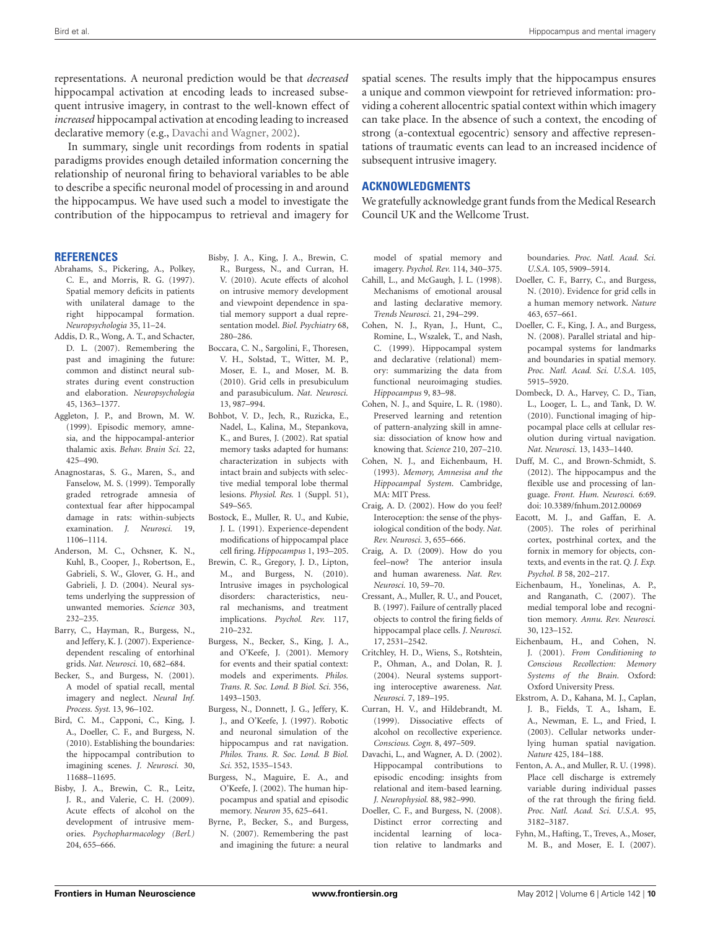representations. A neuronal prediction would be that *decreased* hippocampal activation at encoding leads to increased subsequent intrusive imagery, in contrast to the well-known effect of *increased* hippocampal activation at encoding leading to increased declarative memory (e.g., [Davachi and Wagner](#page-9-38), [2002\)](#page-9-38).

In summary, single unit recordings from rodents in spatial paradigms provides enough detailed information concerning the relationship of neuronal firing to behavioral variables to be able to describe a specific neuronal model of processing in and around the hippocampus. We have used such a model to investigate the contribution of the hippocampus to retrieval and imagery for

spatial scenes. The results imply that the hippocampus ensures a unique and common viewpoint for retrieved information: providing a coherent allocentric spatial context within which imagery can take place. In the absence of such a context, the encoding of strong (a-contextual egocentric) sensory and affective representations of traumatic events can lead to an increased incidence of subsequent intrusive imagery.

#### **ACKNOWLEDGMENTS**

We gratefully acknowledge grant funds from the Medical Research Council UK and the Wellcome Trust.

**REFERENCES**

- <span id="page-9-13"></span>Abrahams, S., Pickering, A., Polkey, C. E., and Morris, R. G. (1997). Spatial memory deficits in patients with unilateral damage to the right hippocampal formation. *Neuropsychologia* 35, 11–24.
- <span id="page-9-22"></span>Addis, D. R., Wong, A. T., and Schacter, D. L. (2007). Remembering the past and imagining the future: common and distinct neural substrates during event construction and elaboration. *Neuropsychologia* 45, 1363–1377.
- <span id="page-9-9"></span>Aggleton, J. P., and Brown, M. W. (1999). Episodic memory, amnesia, and the hippocampal-anterior thalamic axis. *Behav. Brain Sci.* 22, 425–490.
- <span id="page-9-33"></span>Anagnostaras, S. G., Maren, S., and Fanselow, M. S. (1999). Temporally graded retrograde amnesia of contextual fear after hippocampal damage in rats: within-subjects examination. *J. Neurosci.* 19, 1106–1114.
- <span id="page-9-34"></span>Anderson, M. C., Ochsner, K. N., Kuhl, B., Cooper, J., Robertson, E., Gabrieli, S. W., Glover, G. H., and Gabrieli, J. D. (2004). Neural systems underlying the suppression of unwanted memories. *Science* 303, 232–235.
- <span id="page-9-20"></span>Barry, C., Hayman, R., Burgess, N., and Jeffery, K. J. (2007). Experiencedependent rescaling of entorhinal grids. *Nat. Neurosci.* 10, 682–684.
- <span id="page-9-1"></span>Becker, S., and Burgess, N. (2001). A model of spatial recall, mental imagery and neglect. *Neural Inf. Process. Syst.* 13, 96–102.
- <span id="page-9-23"></span>Bird, C. M., Capponi, C., King, J. A., Doeller, C. F., and Burgess, N. (2010). Establishing the boundaries: the hippocampal contribution to imagining scenes. *J. Neurosci.* 30, 11688–11695.
- <span id="page-9-37"></span>Bisby, J. A., Brewin, C. R., Leitz, J. R., and Valerie, C. H. (2009). Acute effects of alcohol on the development of intrusive memories. *Psychopharmacology (Berl.)* 204, 655–666.
- <span id="page-9-35"></span>Bisby, J. A., King, J. A., Brewin, C. R., Burgess, N., and Curran, H. V. (2010). Acute effects of alcohol on intrusive memory development and viewpoint dependence in spatial memory support a dual representation model. *Biol. Psychiatry* 68, 280–286.
- <span id="page-9-8"></span>Boccara, C. N., Sargolini, F., Thoresen, V. H., Solstad, T., Witter, M. P., Moser, E. I., and Moser, M. B. (2010). Grid cells in presubiculum and parasubiculum. *Nat. Neurosci.* 13, 987–994.
- <span id="page-9-14"></span>Bohbot, V. D., Jech, R., Ruzicka, E., Nadel, L., Kalina, M., Stepankova, K., and Bures, J. (2002). Rat spatial memory tasks adapted for humans: characterization in subjects with intact brain and subjects with selective medial temporal lobe thermal lesions. *Physiol. Res.* 1 (Suppl. 51), S49–S65.
- <span id="page-9-5"></span>Bostock, E., Muller, R. U., and Kubie, J. L. (1991). Experience-dependent modifications of hippocampal place cell firing. *Hippocampus* 1, 193–205.
- <span id="page-9-28"></span>Brewin, C. R., Gregory, J. D., Lipton, M., and Burgess, N. (2010). Intrusive images in psychological disorders: characteristics neural mechanisms, and treatment implications. *Psychol. Rev.* 117, 210–232.
- <span id="page-9-4"></span>Burgess, N., Becker, S., King, J. A., and O'Keefe, J. (2001). Memory for events and their spatial context: models and experiments. *Philos. Trans. R. Soc. Lond. B Biol. Sci.* 356, 1493–1503.
- <span id="page-9-3"></span>Burgess, N., Donnett, J. G., Jeffery, K. J., and O'Keefe, J. (1997). Robotic and neuronal simulation of the hippocampus and rat navigation. *Philos. Trans. R. Soc. Lond. B Biol. Sci.* 352, 1535–1543.
- <span id="page-9-15"></span>Burgess, N., Maguire, E. A., and O'Keefe, J. (2002). The human hippocampus and spatial and episodic memory. *Neuron* 35, 625–641.
- <span id="page-9-2"></span>Byrne, P., Becker, S., and Burgess, N. (2007). Remembering the past and imagining the future: a neural

model of spatial memory and imagery. *Psychol. Rev.* 114, 340–375.

- <span id="page-9-29"></span>Cahill, L., and McGaugh, J. L. (1998). Mechanisms of emotional arousal and lasting declarative memory. *Trends Neurosci.* 21, 294–299.
- <span id="page-9-26"></span>Cohen, N. J., Ryan, J., Hunt, C., Romine, L., Wszalek, T., and Nash, C. (1999). Hippocampal system and declarative (relational) memory: summarizing the data from functional neuroimaging studies. *Hippocampus* 9, 83–98.
- <span id="page-9-24"></span>Cohen, N. J., and Squire, L. R. (1980). Preserved learning and retention of pattern-analyzing skill in amnesia: dissociation of know how and knowing that. *Science* 210, 207–210.
- <span id="page-9-12"></span>Cohen, N. J., and Eichenbaum, H. (1993). *Memory, Amnesisa and the Hippocampal System*. Cambridge, MA: MIT Press.
- <span id="page-9-30"></span>Craig, A. D. (2002). How do you feel? Interoception: the sense of the physiological condition of the body. *Nat. Rev. Neurosci.* 3, 655–666.
- <span id="page-9-31"></span>Craig, A. D. (2009). How do you feel–now? The anterior insula and human awareness. *Nat. Rev. Neurosci.* 10, 59–70.
- <span id="page-9-16"></span>Cressant, A., Muller, R. U., and Poucet B. (1997). Failure of centrally placed objects to control the firing fields of hippocampal place cells. *J. Neurosci.* 17, 2531–2542.
- <span id="page-9-32"></span>Critchley, H. D., Wiens, S., Rotshtein, P., Ohman, A., and Dolan, R. J. (2004). Neural systems supporting interoceptive awareness. *Nat. Neurosci.* 7, 189–195.
- <span id="page-9-36"></span>Curran, H. V., and Hildebrandt, M. (1999). Dissociative effects of alcohol on recollective experience. *Conscious. Cogn.* 8, 497–509.
- <span id="page-9-38"></span>Davachi, L., and Wagner, A. D. (2002). Hippocampal contributions to episodic encoding: insights from relational and item-based learning. *J. Neurophysiol.* 88, 982–990.
- <span id="page-9-27"></span>Doeller, C. F., and Burgess, N. (2008). Distinct error correcting and incidental learning of location relative to landmarks and

boundaries. *Proc. Natl. Acad. Sci. U.S.A.* 105, 5909–5914.

- <span id="page-9-21"></span>Doeller, C. F., Barry, C., and Burgess, N. (2010). Evidence for grid cells in a human memory network. *Nature* 463, 657–661.
- <span id="page-9-17"></span>Doeller, C. F., King, J. A., and Burgess, N. (2008). Parallel striatal and hippocampal systems for landmarks and boundaries in spatial memory. *Proc. Natl. Acad. Sci. U.S.A.* 105, 5915–5920.
- <span id="page-9-19"></span>Dombeck, D. A., Harvey, C. D., Tian, L., Looger, L. L., and Tank, D. W. (2010). Functional imaging of hippocampal place cells at cellular resolution during virtual navigation. *Nat. Neurosci.* 13, 1433–1440.
- <span id="page-9-25"></span>Duff, M. C., and Brown-Schmidt, S. (2012). The hippocampus and the flexible use and processing of language. *Front. Hum. Neurosci.* 6:69. doi: 10.3389/fnhum.2012.00069
- <span id="page-9-10"></span>Eacott, M. J., and Gaffan, E. A. (2005). The roles of perirhinal cortex, postrhinal cortex, and the fornix in memory for objects, contexts, and events in the rat. *Q. J. Exp. Psychol. B* 58, 202–217.
- <span id="page-9-11"></span>Eichenbaum, H., Yonelinas, A. P., and Ranganath, C. (2007). The medial temporal lobe and recognition memory. *Annu. Rev. Neurosci.* 30, 123–152.
- <span id="page-9-0"></span>Eichenbaum, H., and Cohen, N. J. (2001). *From Conditioning to Conscious Recollection: Memory Systems of the Brain.* Oxford: Oxford University Press.
- <span id="page-9-18"></span>Ekstrom, A. D., Kahana, M. J., Caplan, J. B., Fields, T. A., Isham, E. A., Newman, E. L., and Fried, I. (2003). Cellular networks underlying human spatial navigation. *Nature* 425, 184–188.
- <span id="page-9-7"></span>Fenton, A. A., and Muller, R. U. (1998). Place cell discharge is extremely variable during individual passes of the rat through the firing field. *Proc. Natl. Acad. Sci. U.S.A.* 95, 3182–3187.
- <span id="page-9-6"></span>Fyhn, M., Hafting, T., Treves, A., Moser, M. B., and Moser, E. I. (2007).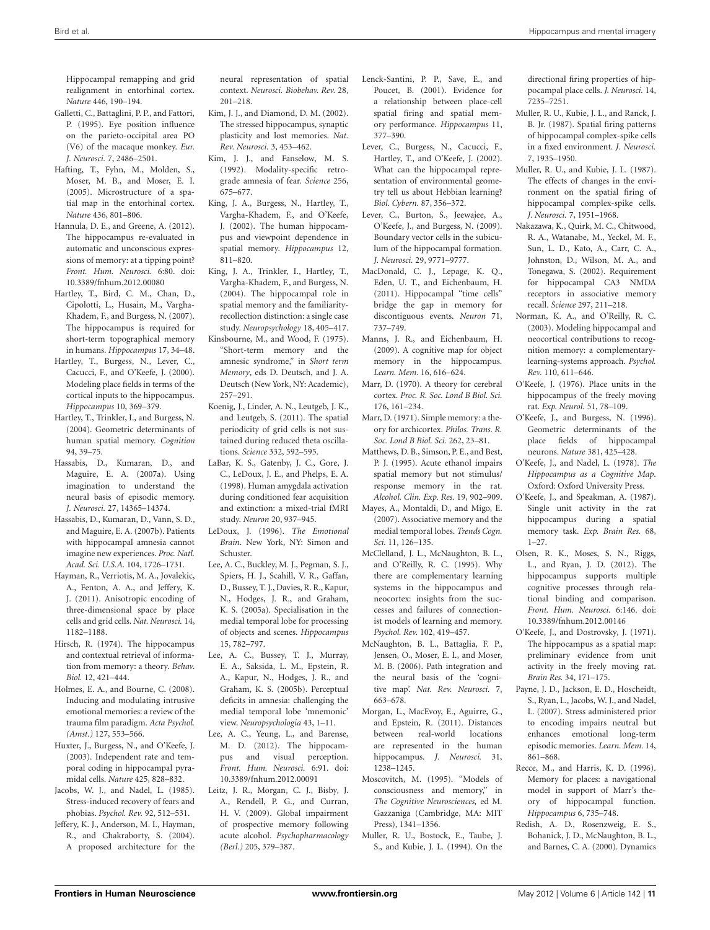Hippocampal remapping and grid realignment in entorhinal cortex. *Nature* 446, 190–194.

- <span id="page-10-24"></span>Galletti, C., Battaglini, P. P., and Fattori, P. (1995). Eye position influence on the parieto-occipital area PO (V6) of the macaque monkey. *Eur. J. Neurosci.* 7, 2486–2501.
- <span id="page-10-21"></span>Hafting, T., Fyhn, M., Molden, S., Moser, M. B., and Moser, E. I. (2005). Microstructure of a spatial map in the entorhinal cortex. *Nature* 436, 801–806.
- <span id="page-10-39"></span>Hannula, D. E., and Greene, A. (2012). The hippocampus re-evaluated in automatic and unconscious expressions of memory: at a tipping point? *Front. Hum. Neurosci.* 6:80. doi: 10.3389/fnhum.2012.00080
- <span id="page-10-32"></span>Hartley, T., Bird, C. M., Chan, D., Cipolotti, L., Husain, M., Vargha-Khadem, F., and Burgess, N. (2007). The hippocampus is required for short-term topographical memory in humans. *Hippocampus* 17, 34–48.
- <span id="page-10-10"></span>Hartley, T., Burgess, N., Lever, C., Cacucci, F., and O'Keefe, J. (2000). Modeling place fields in terms of the cortical inputs to the hippocampus. *Hippocampus* 10, 369–379.
- <span id="page-10-35"></span>Hartley, T., Trinkler, I., and Burgess, N. (2004). Geometric determinants of human spatial memory. *Cognition* 94, 39–75.
- <span id="page-10-38"></span>Hassabis, D., Kumaran, D., and Maguire, E. A. (2007a). Using imagination to understand the neural basis of episodic memory. *J. Neurosci.* 27, 14365–14374.
- <span id="page-10-3"></span>Hassabis, D., Kumaran, D., Vann, S. D., and Maguire, E. A. (2007b). Patients with hippocampal amnesia cannot imagine new experiences. *Proc. Natl. Acad. Sci. U.S.A.* 104, 1726–1731.
- <span id="page-10-19"></span>Hayman, R., Verriotis, M. A., Jovalekic, A., Fenton, A. A., and Jeffery, K. J. (2011). Anisotropic encoding of three-dimensional space by place cells and grid cells. *Nat. Neurosci.* 14, 1182–1188.
- <span id="page-10-41"></span>Hirsch, R. (1974). The hippocampus and contextual retrieval of information from memory: a theory. *Behav. Biol.* 12, 421–444.
- <span id="page-10-49"></span>Holmes, E. A., and Bourne, C. (2008). Inducing and modulating intrusive emotional memories: a review of the trauma film paradigm. *Acta Psychol. (Amst.)* 127, 553–566.
- <span id="page-10-16"></span>Huxter, J., Burgess, N., and O'Keefe, J. (2003). Independent rate and temporal coding in hippocampal pyramidal cells. *Nature* 425, 828–832.
- <span id="page-10-42"></span>Jacobs, W. J., and Nadel, L. (1985). Stress-induced recovery of fears and phobias. *Psychol. Rev.* 92, 512–531.
- <span id="page-10-15"></span>Jeffery, K. J., Anderson, M. I., Hayman, R., and Chakraborty, S. (2004). A proposed architecture for the

neural representation of spatial context. *Neurosci. Biobehav. Rev.* 28, 201–218.

- <span id="page-10-46"></span>Kim, J. J., and Diamond, D. M. (2002). The stressed hippocampus, synaptic plasticity and lost memories. *Nat. Rev. Neurosci.* 3, 453–462.
- <span id="page-10-45"></span>Kim, J. J., and Fanselow, M. S. (1992). Modality-specific retrograde amnesia of fear. *Science* 256, 675–677.
- <span id="page-10-52"></span>King, J. A., Burgess, N., Hartley, T., Vargha-Khadem, F., and O'Keefe, J. (2002). The human hippocampus and viewpoint dependence in spatial memory. *Hippocampus* 12, 811–820.
- <span id="page-10-31"></span>King, J. A., Trinkler, I., Hartley, T., Vargha-Khadem, F., and Burgess, N. (2004). The hippocampal role in spatial memory and the familiarityrecollection distinction: a single case study. *Neuropsychology* 18, 405–417.
- <span id="page-10-0"></span>Kinsbourne, M., and Wood, F. (1975). "Short-term memory and the amnesic syndrome," in *Short term Memory*, eds D. Deutsch, and J. A. Deutsch (New York, NY: Academic), 257–291.
- <span id="page-10-12"></span>Koenig, J., Linder, A. N., Leutgeb, J. K., and Leutgeb, S. (2011). The spatial periodicity of grid cells is not sustained during reduced theta oscillations. *Science* 332, 592–595.
- <span id="page-10-48"></span>LaBar, K. S., Gatenby, J. C., Gore, J. C., LeDoux, J. E., and Phelps, E. A. (1998). Human amygdala activation during conditioned fear acquisition and extinction: a mixed-trial fMRI study. *Neuron* 20, 937–945.
- <span id="page-10-44"></span>LeDoux, J. (1996). *The Emotional Brain*. New York, NY: Simon and Schuster.
- <span id="page-10-33"></span>Lee, A. C., Buckley, M. J., Pegman, S. J., Spiers, H. J., Scahill, V. R., Gaffan, D., Bussey, T. J., Davies, R. R., Kapur, N., Hodges, J. R., and Graham, K. S. (2005a). Specialisation in the medial temporal lobe for processing of objects and scenes. *Hippocampus* 15, 782–797.
- <span id="page-10-34"></span>Lee, A. C., Bussey, T. J., Murray, E. A., Saksida, L. M., Epstein, R. A., Kapur, N., Hodges, J. R., and Graham, K. S. (2005b). Perceptual deficits in amnesia: challenging the medial temporal lobe 'mnemonic' view. *Neuropsychologia* 43, 1–11.
- <span id="page-10-40"></span>Lee, A. C., Yeung, L., and Barense, M. D. (2012). The hippocampus and visual perception. *Front. Hum. Neurosci.* 6:91. doi: 10.3389/fnhum.2012.00091
- <span id="page-10-51"></span>Leitz, J. R., Morgan, C. J., Bisby, J. A., Rendell, P. G., and Curran, H. V. (2009). Global impairment of prospective memory following acute alcohol. *Psychopharmacology (Berl.)* 205, 379–387.
- <span id="page-10-8"></span>Lenck-Santini, P. P., Save, E., and Poucet, B. (2001). Evidence for a relationship between place-cell spatial firing and spatial memory performance. *Hippocampus* 11, 377–390.
- <span id="page-10-14"></span>Lever, C., Burgess, N., Cacucci, F., Hartley, T., and O'Keefe, J. (2002). What can the hippocampal representation of environmental geometry tell us about Hebbian learning? *Biol. Cybern.* 87, 356–372.
- <span id="page-10-11"></span>Lever, C., Burton, S., Jeewajee, A., O'Keefe, J., and Burgess, N. (2009). Boundary vector cells in the subiculum of the hippocampal formation. *J. Neurosci.* 29, 9771–9777.
- <span id="page-10-18"></span>MacDonald, C. J., Lepage, K. Q., Eden, U. T., and Eichenbaum, H. (2011). Hippocampal "time cells" bridge the gap in memory for discontiguous events. *Neuron* 71, 737–749.
- <span id="page-10-17"></span>Manns, J. R., and Eichenbaum, H. (2009). A cognitive map for object memory in the hippocampus. *Learn. Mem.* 16, 616–624.
- <span id="page-10-43"></span>Marr, D. (1970). A theory for cerebral cortex. *Proc. R. Soc. Lond B Biol. Sci.* 176, 161–234.
- <span id="page-10-26"></span>Marr, D. (1971). Simple memory: a theory for archicortex. *Philos. Trans. R. Soc. Lond B Biol. Sci.* 262, 23–81.
- <span id="page-10-50"></span>Matthews, D. B., Simson, P. E., and Best, P. J. (1995). Acute ethanol impairs spatial memory but not stimulus/ response memory in the rat. *Alcohol. Clin. Exp. Res.* 19, 902–909.
- <span id="page-10-27"></span>Mayes, A., Montaldi, D., and Migo, E. (2007). Associative memory and the medial temporal lobes. *Trends Cogn. Sci.* 11, 126–135.
- <span id="page-10-28"></span>McClelland, J. L., McNaughton, B. L., and O'Reilly, R. C. (1995). Why there are complementary learning systems in the hippocampus and neocortex: insights from the successes and failures of connectionist models of learning and memory. *Psychol. Rev.* 102, 419–457.
- <span id="page-10-22"></span>McNaughton, B. L., Battaglia, F. P., Jensen, O., Moser, E. I., and Moser, M. B. (2006). Path integration and the neural basis of the 'cognitive map'. *Nat. Rev. Neurosci.* 7, 663–678.
- <span id="page-10-36"></span>Morgan, L., MacEvoy, E., Aguirre, G., and Epstein, R. (2011). Distances between real-world locations are represented in the human hippocampus. *J. Neurosci.* 31, 1238–1245.
- <span id="page-10-2"></span>Moscovitch, M. (1995). "Models of consciousness and memory," in *The Cognitive Neurosciences,* ed M. Gazzaniga (Cambridge, MA: MIT Press), 1341–1356.
- <span id="page-10-6"></span>Muller, R. U., Bostock, E., Taube, J. S., and Kubie, J. L. (1994). On the

directional firing properties of hippocampal place cells. *J. Neurosci.* 14, 7235–7251.

- <span id="page-10-20"></span>Muller, R. U., Kubie, J. L., and Ranck, J. B. Jr. (1987). Spatial firing patterns of hippocampal complex-spike cells in a fixed environment. *J. Neurosci.* 7, 1935–1950.
- <span id="page-10-13"></span>Muller, R. U., and Kubie, J. L. (1987). The effects of changes in the environment on the spatial firing of hippocampal complex-spike cells. *J. Neurosci.* 7, 1951–1968.
- <span id="page-10-23"></span>Nakazawa, K., Quirk, M. C., Chitwood, R. A., Watanabe, M., Yeckel, M. F., Sun, L. D., Kato, A., Carr, C. A., Johnston, D., Wilson, M. A., and Tonegawa, S. (2002). Requirement for hippocampal CA3 NMDA receptors in associative memory recall. *Science* 297, 211–218.
- <span id="page-10-29"></span>Norman, K. A., and O'Reilly, R. C. (2003). Modeling hippocampal and neocortical contributions to recognition memory: a complementarylearning-systems approach. *Psychol. Rev.* 110, 611–646.
- <span id="page-10-5"></span>O'Keefe, J. (1976). Place units in the hippocampus of the freely moving rat. *Exp. Neurol.* 51, 78–109.
- <span id="page-10-9"></span>O'Keefe, J., and Burgess, N. (1996). Geometric determinants of the place fields of hippocampal neurons. *Nature* 381, 425–428.
- <span id="page-10-1"></span>O'Keefe, J., and Nadel, L. (1978). *The Hippocampus as a Cognitive Map*. Oxford: Oxford University Press.
- <span id="page-10-7"></span>O'Keefe, J., and Speakman, A. (1987). Single unit activity in the rat hippocampus during a spatial memory task. *Exp. Brain Res.* 68, 1–27.
- <span id="page-10-30"></span>Olsen, R. K., Moses, S. N., Riggs, L., and Ryan, J. D. (2012). The hippocampus supports multiple cognitive processes through relational binding and comparison. *Front. Hum. Neurosci.* 6:146. doi: 10.3389/fnhum.2012.00146
- <span id="page-10-4"></span>O'Keefe, J., and Dostrovsky, J. (1971). The hippocampus as a spatial map: preliminary evidence from unit activity in the freely moving rat. *Brain Res.* 34, 171–175.
- <span id="page-10-47"></span>Payne, J. D., Jackson, E. D., Hoscheidt, S., Ryan, L., Jacobs, W. J., and Nadel, L. (2007). Stress administered prior to encoding impairs neutral but enhances emotional long-term episodic memories. *Learn. Mem.* 14, 861–868.
- <span id="page-10-25"></span>Recce, M., and Harris, K. D. (1996). Memory for places: a navigational model in support of Marr's theory of hippocampal function. *Hippocampus* 6, 735–748.
- <span id="page-10-37"></span>Redish, A. D., Rosenzweig, E. S., Bohanick, J. D., McNaughton, B. L., and Barnes, C. A. (2000). Dynamics